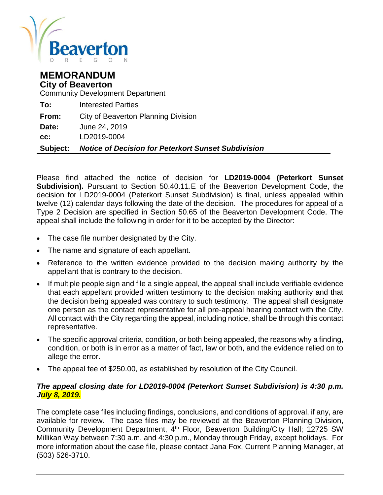

# **MEMORANDUM City of Beaverton**

Community Development Department

| Subiect: | Notice of Decision for Peterkort Sunset Subdivision |
|----------|-----------------------------------------------------|
| CC.      | LD2019-0004                                         |
| Date:    | June 24, 2019                                       |
| From:    | City of Beaverton Planning Division                 |
| To:      | Interested Parties                                  |

Please find attached the notice of decision for **LD2019-0004 (Peterkort Sunset Subdivision).** Pursuant to Section 50.40.11.E of the Beaverton Development Code, the decision for LD2019-0004 (Peterkort Sunset Subdivision) is final, unless appealed within twelve (12) calendar days following the date of the decision. The procedures for appeal of a Type 2 Decision are specified in Section 50.65 of the Beaverton Development Code. The appeal shall include the following in order for it to be accepted by the Director:

- The case file number designated by the City.
- The name and signature of each appellant.
- Reference to the written evidence provided to the decision making authority by the appellant that is contrary to the decision.
- If multiple people sign and file a single appeal, the appeal shall include verifiable evidence that each appellant provided written testimony to the decision making authority and that the decision being appealed was contrary to such testimony. The appeal shall designate one person as the contact representative for all pre-appeal hearing contact with the City. All contact with the City regarding the appeal, including notice, shall be through this contact representative.
- The specific approval criteria, condition, or both being appealed, the reasons why a finding, condition, or both is in error as a matter of fact, law or both, and the evidence relied on to allege the error.
- The appeal fee of \$250.00, as established by resolution of the City Council.

#### *The appeal closing date for LD2019-0004 (Peterkort Sunset Subdivision) is 4:30 p.m. July 8, 2019.*

The complete case files including findings, conclusions, and conditions of approval, if any, are available for review. The case files may be reviewed at the Beaverton Planning Division, Community Development Department, 4<sup>th</sup> Floor, Beaverton Building/City Hall; 12725 SW Millikan Way between 7:30 a.m. and 4:30 p.m., Monday through Friday, except holidays. For more information about the case file, please contact Jana Fox, Current Planning Manager, at (503) 526-3710.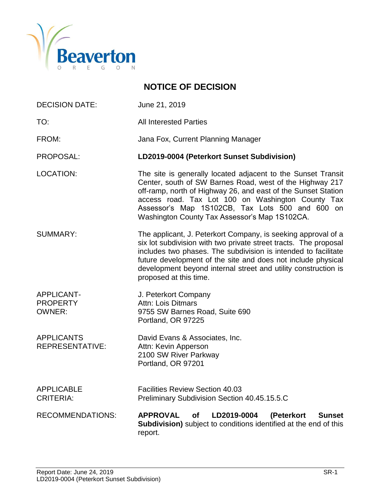

# **NOTICE OF DECISION**

- DECISION DATE: June 21, 2019
- TO: All Interested Parties

FROM: Jana Fox, Current Planning Manager

PROPOSAL: **LD2019-0004 (Peterkort Sunset Subdivision)**

- LOCATION: The site is generally located adjacent to the Sunset Transit Center, south of SW Barnes Road, west of the Highway 217 off-ramp, north of Highway 26, and east of the Sunset Station access road. Tax Lot 100 on Washington County Tax Assessor's Map 1S102CB, Tax Lots 500 and 600 on Washington County Tax Assessor's Map 1S102CA.
- SUMMARY: The applicant, J. Peterkort Company, is seeking approval of a six lot subdivision with two private street tracts. The proposal includes two phases. The subdivision is intended to facilitate future development of the site and does not include physical development beyond internal street and utility construction is proposed at this time.
- APPLICANT- J. Peterkort Company PROPERTY Attn: Lois Ditmars OWNER: 9755 SW Barnes Road, Suite 690 Portland, OR 97225
- APPLICANTS David Evans & Associates, Inc. REPRESENTATIVE: Attn: Kevin Apperson 2100 SW River Parkway Portland, OR 97201
- APPLICABLE Facilities Review Section 40.03 CRITERIA: Preliminary Subdivision Section 40.45.15.5.C
- RECOMMENDATIONS: **APPROVAL of LD2019-0004 (Peterkort Sunset Subdivision)** subject to conditions identified at the end of this report.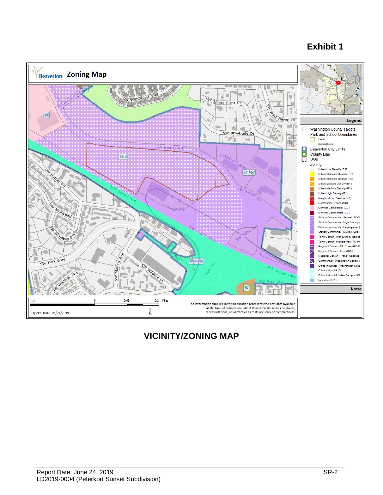# **Exhibit 1**



# **VICINITY/ZONING MAP**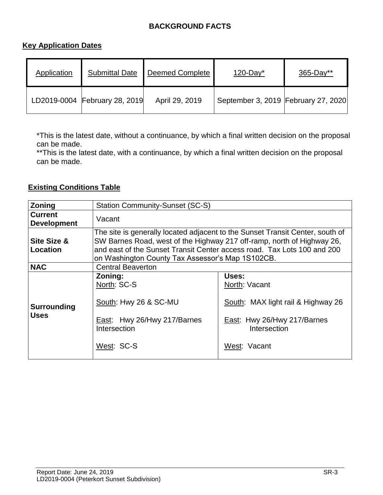# **BACKGROUND FACTS**

# **Key Application Dates**

| Application | <b>Submittal Date</b>         | <b>Deemed Complete</b> | $120$ -Day <sup>*</sup>             | $365 - Day**$ |
|-------------|-------------------------------|------------------------|-------------------------------------|---------------|
|             | LD2019-0004 February 28, 2019 | April 29, 2019         | September 3, 2019 February 27, 2020 |               |

\*This is the latest date, without a continuance, by which a final written decision on the proposal can be made.

\*\* This is the latest date, with a continuance, by which a final written decision on the proposal can be made.

# **Existing Conditions Table**

| <b>Zoning</b>                        | <b>Station Community-Sunset (SC-S)</b>                                                                                                                                                                                                                                                 |                                                                                                                             |  |  |
|--------------------------------------|----------------------------------------------------------------------------------------------------------------------------------------------------------------------------------------------------------------------------------------------------------------------------------------|-----------------------------------------------------------------------------------------------------------------------------|--|--|
| <b>Current</b><br><b>Development</b> | Vacant                                                                                                                                                                                                                                                                                 |                                                                                                                             |  |  |
| Site Size &<br>Location              | The site is generally located adjacent to the Sunset Transit Center, south of<br>SW Barnes Road, west of the Highway 217 off-ramp, north of Highway 26,<br>and east of the Sunset Transit Center access road. Tax Lots 100 and 200<br>on Washington County Tax Assessor's Map 1S102CB. |                                                                                                                             |  |  |
| <b>NAC</b>                           | <b>Central Beaverton</b>                                                                                                                                                                                                                                                               |                                                                                                                             |  |  |
| <b>Surrounding</b><br><b>Uses</b>    | Zoning:<br>North: SC-S<br>South: Hwy 26 & SC-MU<br>East: Hwy 26/Hwy 217/Barnes<br>Intersection<br>West: SC-S                                                                                                                                                                           | Uses:<br>North: Vacant<br>South: MAX light rail & Highway 26<br>East: Hwy 26/Hwy 217/Barnes<br>Intersection<br>West: Vacant |  |  |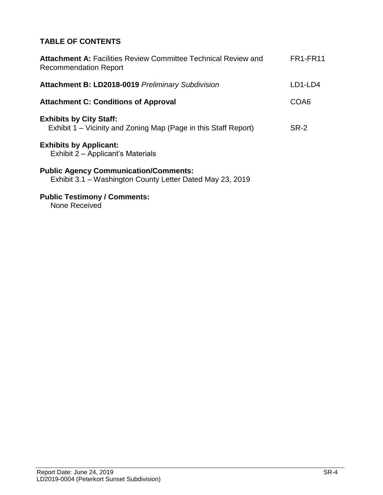# **TABLE OF CONTENTS**

| <b>FR1-FR11</b> |
|-----------------|
| LD1-LD4         |
| COA6            |
| SR-2            |
|                 |
|                 |
|                 |

#### **Public Testimony / Comments:**

None Received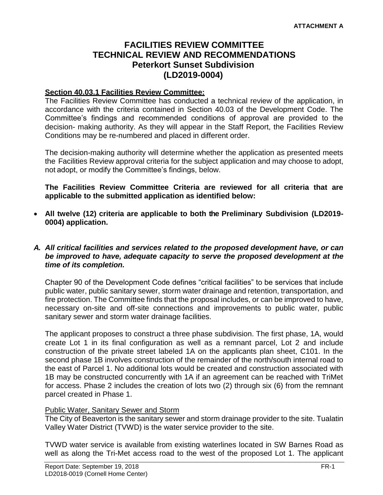# **FACILITIES REVIEW COMMITTEE TECHNICAL REVIEW AND RECOMMENDATIONS Peterkort Sunset Subdivision (LD2019-0004)**

# **Section 40.03.1 Facilities Review Committee:**

The Facilities Review Committee has conducted a technical review of the application, in accordance with the criteria contained in Section 40.03 of the Development Code. The Committee's findings and recommended conditions of approval are provided to the decision- making authority. As they will appear in the Staff Report, the Facilities Review Conditions may be re-numbered and placed in different order.

The decision-making authority will determine whether the application as presented meets the Facilities Review approval criteria for the subject application and may choose to adopt, not adopt, or modify the Committee's findings, below.

**The Facilities Review Committee Criteria are reviewed for all criteria that are applicable to the submitted application as identified below:**

 **All twelve (12) criteria are applicable to both the Preliminary Subdivision (LD2019- 0004) application.**

#### *A. All critical facilities and services related to the proposed development have, or can be improved to have, adequate capacity to serve the proposed development at the time of its completion.*

Chapter 90 of the Development Code defines "critical facilities" to be services that include public water, public sanitary sewer, storm water drainage and retention, transportation, and fire protection. The Committee finds that the proposal includes, or can be improved to have, necessary on-site and off-site connections and improvements to public water, public sanitary sewer and storm water drainage facilities.

The applicant proposes to construct a three phase subdivision. The first phase, 1A, would create Lot 1 in its final configuration as well as a remnant parcel, Lot 2 and include construction of the private street labeled 1A on the applicants plan sheet, C101. In the second phase 1B involves construction of the remainder of the north/south internal road to the east of Parcel 1. No additional lots would be created and construction associated with 1B may be constructed concurrently with 1A if an agreement can be reached with TriMet for access. Phase 2 includes the creation of lots two (2) through six (6) from the remnant parcel created in Phase 1.

#### Public Water, Sanitary Sewer and Storm

The City of Beaverton is the sanitary sewer and storm drainage provider to the site. Tualatin Valley Water District (TVWD) is the water service provider to the site.

TVWD water service is available from existing waterlines located in SW Barnes Road as well as along the Tri-Met access road to the west of the proposed Lot 1. The applicant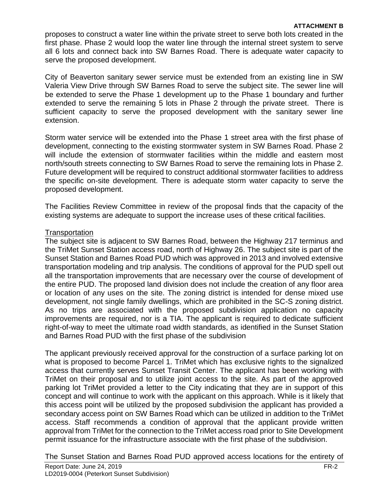#### **ATTACHMENT B**

proposes to construct a water line within the private street to serve both lots created in the first phase. Phase 2 would loop the water line through the internal street system to serve all 6 lots and connect back into SW Barnes Road. There is adequate water capacity to serve the proposed development.

City of Beaverton sanitary sewer service must be extended from an existing line in SW Valeria View Drive through SW Barnes Road to serve the subject site. The sewer line will be extended to serve the Phase 1 development up to the Phase 1 boundary and further extended to serve the remaining 5 lots in Phase 2 through the private street. There is sufficient capacity to serve the proposed development with the sanitary sewer line extension.

Storm water service will be extended into the Phase 1 street area with the first phase of development, connecting to the existing stormwater system in SW Barnes Road. Phase 2 will include the extension of stormwater facilities within the middle and eastern most north/south streets connecting to SW Barnes Road to serve the remaining lots in Phase 2. Future development will be required to construct additional stormwater facilities to address the specific on-site development. There is adequate storm water capacity to serve the proposed development.

The Facilities Review Committee in review of the proposal finds that the capacity of the existing systems are adequate to support the increase uses of these critical facilities.

#### **Transportation**

The subject site is adjacent to SW Barnes Road, between the Highway 217 terminus and the TriMet Sunset Station access road, north of Highway 26. The subject site is part of the Sunset Station and Barnes Road PUD which was approved in 2013 and involved extensive transportation modeling and trip analysis. The conditions of approval for the PUD spell out all the transportation improvements that are necessary over the course of development of the entire PUD. The proposed land division does not include the creation of any floor area or location of any uses on the site. The zoning district is intended for dense mixed use development, not single family dwellings, which are prohibited in the SC-S zoning district. As no trips are associated with the proposed subdivision application no capacity improvements are required, nor is a TIA. The applicant is required to dedicate sufficient right-of-way to meet the ultimate road width standards, as identified in the Sunset Station and Barnes Road PUD with the first phase of the subdivision

The applicant previously received approval for the construction of a surface parking lot on what is proposed to become Parcel 1. TriMet which has exclusive rights to the signalized access that currently serves Sunset Transit Center. The applicant has been working with TriMet on their proposal and to utilize joint access to the site. As part of the approved parking lot TriMet provided a letter to the City indicating that they are in support of this concept and will continue to work with the applicant on this approach. While is it likely that this access point will be utilized by the proposed subdivision the applicant has provided a secondary access point on SW Barnes Road which can be utilized in addition to the TriMet access. Staff recommends a condition of approval that the applicant provide written approval from TriMet for the connection to the TriMet access road prior to Site Development permit issuance for the infrastructure associate with the first phase of the subdivision.

The Sunset Station and Barnes Road PUD approved access locations for the entirety of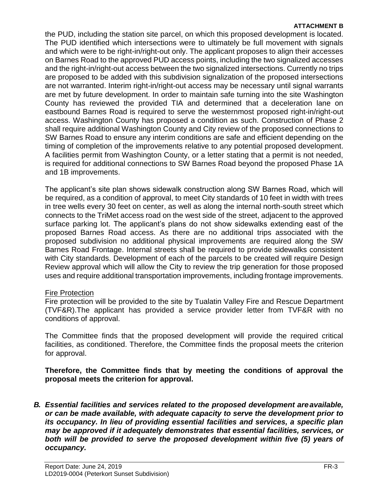#### **ATTACHMENT B**

the PUD, including the station site parcel, on which this proposed development is located. The PUD identified which intersections were to ultimately be full movement with signals and which were to be right-in/right-out only. The applicant proposes to align their accesses on Barnes Road to the approved PUD access points, including the two signalized accesses and the right-in/right-out access between the two signalized intersections. Currently no trips are proposed to be added with this subdivision signalization of the proposed intersections are not warranted. Interim right-in/right-out access may be necessary until signal warrants are met by future development. In order to maintain safe turning into the site Washington County has reviewed the provided TIA and determined that a deceleration lane on eastbound Barnes Road is required to serve the westernmost proposed right-in/right-out access. Washington County has proposed a condition as such. Construction of Phase 2 shall require additional Washington County and City review of the proposed connections to SW Barnes Road to ensure any interim conditions are safe and efficient depending on the timing of completion of the improvements relative to any potential proposed development. A facilities permit from Washington County, or a letter stating that a permit is not needed, is required for additional connections to SW Barnes Road beyond the proposed Phase 1A and 1B improvements.

The applicant's site plan shows sidewalk construction along SW Barnes Road, which will be required, as a condition of approval, to meet City standards of 10 feet in width with trees in tree wells every 30 feet on center, as well as along the internal north-south street which connects to the TriMet access road on the west side of the street, adjacent to the approved surface parking lot. The applicant's plans do not show sidewalks extending east of the proposed Barnes Road access. As there are no additional trips associated with the proposed subdivision no additional physical improvements are required along the SW Barnes Road Frontage. Internal streets shall be required to provide sidewalks consistent with City standards. Development of each of the parcels to be created will require Design Review approval which will allow the City to review the trip generation for those proposed uses and require additional transportation improvements, including frontage improvements.

#### Fire Protection

Fire protection will be provided to the site by Tualatin Valley Fire and Rescue Department (TVF&R).The applicant has provided a service provider letter from TVF&R with no conditions of approval.

The Committee finds that the proposed development will provide the required critical facilities, as conditioned. Therefore, the Committee finds the proposal meets the criterion for approval.

**Therefore, the Committee finds that by meeting the conditions of approval the proposal meets the criterion for approval.**

*B. Essential facilities and services related to the proposed development areavailable, or can be made available, with adequate capacity to serve the development prior to its occupancy. In lieu of providing essential facilities and services, a specific plan may be approved if it adequately demonstrates that essential facilities, services, or both will be provided to serve the proposed development within five (5) years of occupancy.*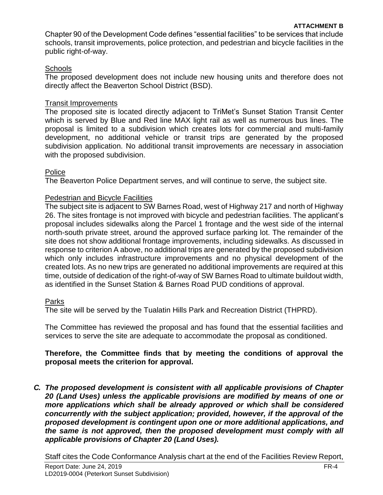Chapter 90 of the Development Code defines "essential facilities" to be services that include schools, transit improvements, police protection, and pedestrian and bicycle facilities in the public right-of-way.

# **Schools**

The proposed development does not include new housing units and therefore does not directly affect the Beaverton School District (BSD).

### Transit Improvements

The proposed site is located directly adjacent to TriMet's Sunset Station Transit Center which is served by Blue and Red line MAX light rail as well as numerous bus lines. The proposal is limited to a subdivision which creates lots for commercial and multi-family development, no additional vehicle or transit trips are generated by the proposed subdivision application. No additional transit improvements are necessary in association with the proposed subdivision.

#### Police

The Beaverton Police Department serves, and will continue to serve, the subject site.

# Pedestrian and Bicycle Facilities

The subject site is adjacent to SW Barnes Road, west of Highway 217 and north of Highway 26. The sites frontage is not improved with bicycle and pedestrian facilities. The applicant's proposal includes sidewalks along the Parcel 1 frontage and the west side of the internal north-south private street, around the approved surface parking lot. The remainder of the site does not show additional frontage improvements, including sidewalks. As discussed in response to criterion A above, no additional trips are generated by the proposed subdivision which only includes infrastructure improvements and no physical development of the created lots. As no new trips are generated no additional improvements are required at this time, outside of dedication of the right-of-way of SW Barnes Road to ultimate buildout width, as identified in the Sunset Station & Barnes Road PUD conditions of approval.

#### Parks

The site will be served by the Tualatin Hills Park and Recreation District (THPRD).

The Committee has reviewed the proposal and has found that the essential facilities and services to serve the site are adequate to accommodate the proposal as conditioned.

#### **Therefore, the Committee finds that by meeting the conditions of approval the proposal meets the criterion for approval.**

*C. The proposed development is consistent with all applicable provisions of Chapter 20 (Land Uses) unless the applicable provisions are modified by means of one or more applications which shall be already approved or which shall be considered concurrently with the subject application; provided, however, if the approval of the proposed development is contingent upon one or more additional applications, and the same is not approved, then the proposed development must comply with all applicable provisions of Chapter 20 (Land Uses).*

Staff cites the Code Conformance Analysis chart at the end of the Facilities Review Report,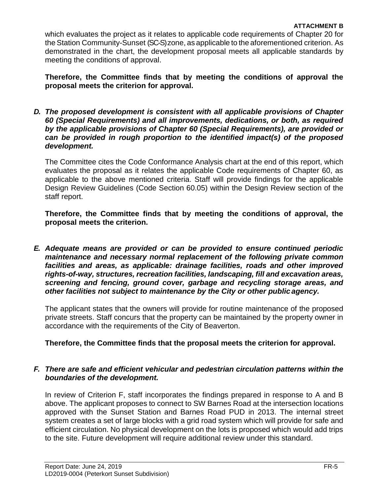which evaluates the project as it relates to applicable code requirements of Chapter 20 for the Station Community-Sunset (SC-S) zone, as applicable to the aforementioned criterion. As demonstrated in the chart, the development proposal meets all applicable standards by meeting the conditions of approval.

**Therefore, the Committee finds that by meeting the conditions of approval the proposal meets the criterion for approval.**

*D. The proposed development is consistent with all applicable provisions of Chapter 60 (Special Requirements) and all improvements, dedications, or both, as required by the applicable provisions of Chapter 60 (Special Requirements), are provided or can be provided in rough proportion to the identified impact(s) of the proposed development.*

The Committee cites the Code Conformance Analysis chart at the end of this report, which evaluates the proposal as it relates the applicable Code requirements of Chapter 60, as applicable to the above mentioned criteria. Staff will provide findings for the applicable Design Review Guidelines (Code Section 60.05) within the Design Review section of the staff report.

**Therefore, the Committee finds that by meeting the conditions of approval, the proposal meets the criterion.**

*E. Adequate means are provided or can be provided to ensure continued periodic maintenance and necessary normal replacement of the following private common facilities and areas, as applicable: drainage facilities, roads and other improved rights-of-way, structures, recreation facilities, landscaping, fill and excavation areas, screening and fencing, ground cover, garbage and recycling storage areas, and other facilities not subject to maintenance by the City or other public agency.*

The applicant states that the owners will provide for routine maintenance of the proposed private streets. Staff concurs that the property can be maintained by the property owner in accordance with the requirements of the City of Beaverton.

# **Therefore, the Committee finds that the proposal meets the criterion for approval.**

#### *F. There are safe and efficient vehicular and pedestrian circulation patterns within the boundaries of the development.*

In review of Criterion F, staff incorporates the findings prepared in response to A and B above. The applicant proposes to connect to SW Barnes Road at the intersection locations approved with the Sunset Station and Barnes Road PUD in 2013. The internal street system creates a set of large blocks with a grid road system which will provide for safe and efficient circulation. No physical development on the lots is proposed which would add trips to the site. Future development will require additional review under this standard.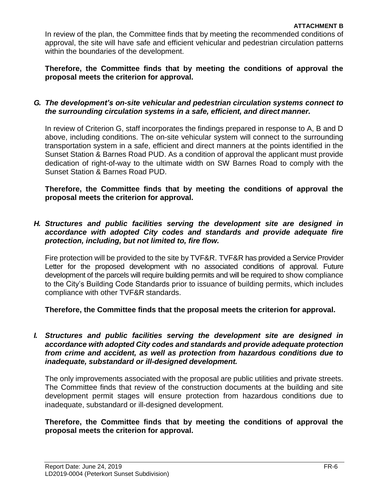In review of the plan, the Committee finds that by meeting the recommended conditions of approval, the site will have safe and efficient vehicular and pedestrian circulation patterns within the boundaries of the development.

**Therefore, the Committee finds that by meeting the conditions of approval the proposal meets the criterion for approval.**

#### *G. The development's on-site vehicular and pedestrian circulation systems connect to the surrounding circulation systems in a safe, efficient, and direct manner.*

In review of Criterion G, staff incorporates the findings prepared in response to A, B and D above, including conditions. The on-site vehicular system will connect to the surrounding transportation system in a safe, efficient and direct manners at the points identified in the Sunset Station & Barnes Road PUD. As a condition of approval the applicant must provide dedication of right-of-way to the ultimate width on SW Barnes Road to comply with the Sunset Station & Barnes Road PUD.

**Therefore, the Committee finds that by meeting the conditions of approval the proposal meets the criterion for approval.**

#### *H. Structures and public facilities serving the development site are designed in accordance with adopted City codes and standards and provide adequate fire protection, including, but not limited to, fire flow.*

Fire protection will be provided to the site by TVF&R. TVF&R has provided a Service Provider Letter for the proposed development with no associated conditions of approval. Future development of the parcels will require building permits and will be required to show compliance to the City's Building Code Standards prior to issuance of building permits, which includes compliance with other TVF&R standards.

**Therefore, the Committee finds that the proposal meets the criterion for approval.**

#### *I. Structures and public facilities serving the development site are designed in accordance with adopted City codes and standards and provide adequate protection from crime and accident, as well as protection from hazardous conditions due to inadequate, substandard or ill-designed development.*

The only improvements associated with the proposal are public utilities and private streets. The Committee finds that review of the construction documents at the building and site development permit stages will ensure protection from hazardous conditions due to inadequate, substandard or ill-designed development.

**Therefore, the Committee finds that by meeting the conditions of approval the proposal meets the criterion for approval.**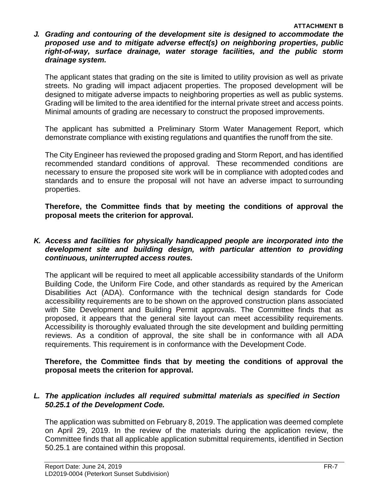*J. Grading and contouring of the development site is designed to accommodate the proposed use and to mitigate adverse effect(s) on neighboring properties, public right-of-way, surface drainage, water storage facilities, and the public storm drainage system.*

The applicant states that grading on the site is limited to utility provision as well as private streets. No grading will impact adjacent properties. The proposed development will be designed to mitigate adverse impacts to neighboring properties as well as public systems. Grading will be limited to the area identified for the internal private street and access points. Minimal amounts of grading are necessary to construct the proposed improvements.

The applicant has submitted a Preliminary Storm Water Management Report, which demonstrate compliance with existing regulations and quantifies the runoff from the site.

The City Engineer has reviewed the proposed grading and Storm Report, and has identified recommended standard conditions of approval. These recommended conditions are necessary to ensure the proposed site work will be in compliance with adopted codes and standards and to ensure the proposal will not have an adverse impact to surrounding properties.

**Therefore, the Committee finds that by meeting the conditions of approval the proposal meets the criterion for approval.**

#### *K. Access and facilities for physically handicapped people are incorporated into the development site and building design, with particular attention to providing continuous, uninterrupted access routes.*

The applicant will be required to meet all applicable accessibility standards of the Uniform Building Code, the Uniform Fire Code, and other standards as required by the American Disabilities Act (ADA). Conformance with the technical design standards for Code accessibility requirements are to be shown on the approved construction plans associated with Site Development and Building Permit approvals. The Committee finds that as proposed, it appears that the general site layout can meet accessibility requirements. Accessibility is thoroughly evaluated through the site development and building permitting reviews. As a condition of approval, the site shall be in conformance with all ADA requirements. This requirement is in conformance with the Development Code.

#### **Therefore, the Committee finds that by meeting the conditions of approval the proposal meets the criterion for approval.**

# *L. The application includes all required submittal materials as specified in Section 50.25.1 of the Development Code.*

The application was submitted on February 8, 2019. The application was deemed complete on April 29, 2019. In the review of the materials during the application review, the Committee finds that all applicable application submittal requirements, identified in Section 50.25.1 are contained within this proposal.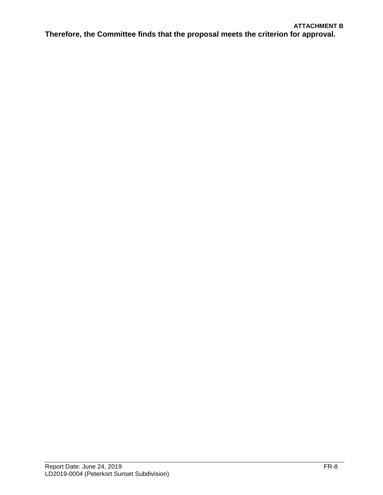#### **ATTACHMENT B**

**Therefore, the Committee finds that the proposal meets the criterion for approval.**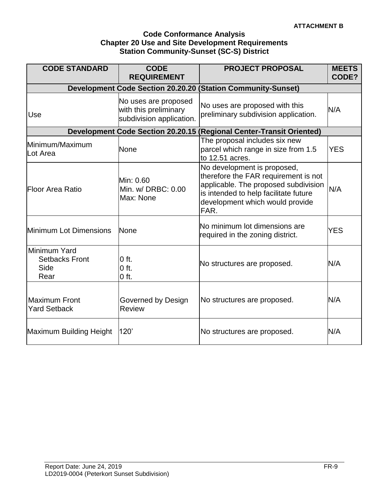#### **Code Conformance Analysis Chapter 20 Use and Site Development Requirements Station Community-Sunset (SC-S) District**

| <b>CODE STANDARD</b>                                  | <b>CODE</b><br><b>REQUIREMENT</b>                                         | <b>PROJECT PROPOSAL</b>                                                                                                                                                                         | <b>MEETS</b><br>CODE? |  |  |
|-------------------------------------------------------|---------------------------------------------------------------------------|-------------------------------------------------------------------------------------------------------------------------------------------------------------------------------------------------|-----------------------|--|--|
|                                                       | <b>Development Code Section 20.20.20</b><br>(Station Community-Sunset)    |                                                                                                                                                                                                 |                       |  |  |
| Use                                                   | No uses are proposed<br>with this preliminary<br>subdivision application. | No uses are proposed with this<br>preliminary subdivision application.                                                                                                                          | N/A                   |  |  |
|                                                       |                                                                           | Development Code Section 20.20.15 (Regional Center-Transit Oriented)                                                                                                                            |                       |  |  |
| Minimum/Maximum<br>Lot Area                           | <b>None</b>                                                               | The proposal includes six new<br>parcel which range in size from 1.5<br>to 12.51 acres.                                                                                                         | <b>YES</b>            |  |  |
| Floor Area Ratio                                      | Min: 0.60<br>Min. w/ DRBC: 0.00<br>Max: None                              | No development is proposed,<br>therefore the FAR requirement is not<br>applicable. The proposed subdivision<br>is intended to help facilitate future<br>development which would provide<br>FAR. | N/A                   |  |  |
| Minimum Lot Dimensions                                | <b>None</b>                                                               | No minimum lot dimensions are<br>required in the zoning district.                                                                                                                               | <b>YES</b>            |  |  |
| Minimum Yard<br><b>Setbacks Front</b><br>Side<br>Rear | $0$ ft.<br>$0$ ft.<br>$0$ ft.                                             | No structures are proposed.                                                                                                                                                                     | N/A                   |  |  |
| Maximum Front<br><b>Yard Setback</b>                  | Governed by Design<br><b>Review</b>                                       | No structures are proposed.                                                                                                                                                                     | N/A                   |  |  |
| Maximum Building Height                               | 120'                                                                      | No structures are proposed.                                                                                                                                                                     | N/A                   |  |  |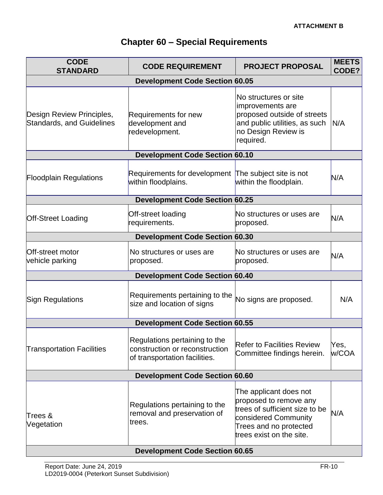| <b>Chapter 60 - Special Requirements</b> |  |  |  |  |
|------------------------------------------|--|--|--|--|
|------------------------------------------|--|--|--|--|

| <b>CODE</b><br><b>STANDARD</b>                                | <b>PROJECT PROPOSAL</b><br><b>CODE REQUIREMENT</b>                                               |                                                                                                                                                                  | <b>MEETS</b><br>CODE? |  |  |
|---------------------------------------------------------------|--------------------------------------------------------------------------------------------------|------------------------------------------------------------------------------------------------------------------------------------------------------------------|-----------------------|--|--|
| <b>Development Code Section 60.05</b>                         |                                                                                                  |                                                                                                                                                                  |                       |  |  |
| Design Review Principles,<br><b>Standards, and Guidelines</b> | Requirements for new<br>development and<br>redevelopment.                                        | No structures or site<br>improvements are<br>proposed outside of streets<br>and public utilities, as such<br>no Design Review is<br>required.                    | N/A                   |  |  |
|                                                               | <b>Development Code Section 60.10</b>                                                            |                                                                                                                                                                  |                       |  |  |
| <b>Floodplain Regulations</b>                                 | Requirements for development The subject site is not<br>within floodplains.                      | within the floodplain.                                                                                                                                           | N/A                   |  |  |
|                                                               | <b>Development Code Section 60.25</b>                                                            |                                                                                                                                                                  |                       |  |  |
| <b>Off-Street Loading</b>                                     | Off-street loading<br>requirements.                                                              | No structures or uses are<br>proposed.                                                                                                                           | N/A                   |  |  |
|                                                               | <b>Development Code Section 60.30</b>                                                            |                                                                                                                                                                  |                       |  |  |
| Off-street motor<br>vehicle parking                           | No structures or uses are<br>proposed.                                                           | No structures or uses are<br>proposed.                                                                                                                           | N/A                   |  |  |
|                                                               | <b>Development Code Section 60.40</b>                                                            |                                                                                                                                                                  |                       |  |  |
| Sign Regulations                                              | Requirements pertaining to the<br>size and location of signs                                     | No signs are proposed.                                                                                                                                           | N/A                   |  |  |
|                                                               | <b>Development Code Section 60.55</b>                                                            |                                                                                                                                                                  |                       |  |  |
| <b>Transportation Facilities</b>                              | Regulations pertaining to the<br>construction or reconstruction<br>of transportation facilities. | <b>Refer to Facilities Review</b><br>Committee findings herein.                                                                                                  | Yes,<br>w/COA         |  |  |
| <b>Development Code Section 60.60</b>                         |                                                                                                  |                                                                                                                                                                  |                       |  |  |
| Trees &<br>Vegetation                                         | Regulations pertaining to the<br>removal and preservation of<br>trees.                           | The applicant does not<br>proposed to remove any<br>trees of sufficient size to be<br>considered Community<br>Trees and no protected<br>trees exist on the site. | N/A                   |  |  |
| <b>Development Code Section 60.65</b>                         |                                                                                                  |                                                                                                                                                                  |                       |  |  |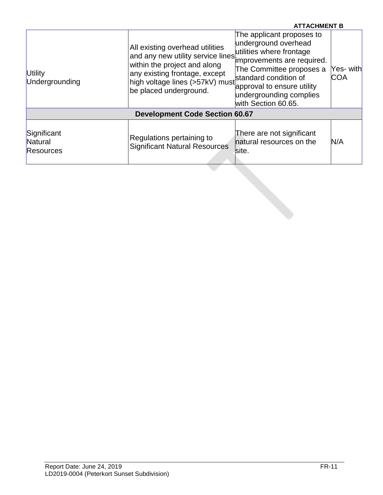|                                     |                                                                                                                                                                                                                               | <b>ATTACHMENT B</b>                                                                                                                                                                    |                          |
|-------------------------------------|-------------------------------------------------------------------------------------------------------------------------------------------------------------------------------------------------------------------------------|----------------------------------------------------------------------------------------------------------------------------------------------------------------------------------------|--------------------------|
| Utility<br>Undergrounding           | All existing overhead utilities<br>and any new utility service lines improvements are required.<br>within the project and along<br>any existing frontage, except<br>high voltage lines (>57kV) must<br>be placed underground. | The applicant proposes to<br>underground overhead<br>The Committee proposes a<br>standard condition of<br>approval to ensure utility<br>undergrounding complies<br>with Section 60.65. | Yes- withl<br><b>COA</b> |
|                                     | <b>Development Code Section 60.67</b>                                                                                                                                                                                         |                                                                                                                                                                                        |                          |
| Significant<br>Natural<br>Resources | Regulations pertaining to<br><b>Significant Natural Resources</b>                                                                                                                                                             | There are not significant<br>natural resources on the<br>site.                                                                                                                         | N/A                      |
|                                     |                                                                                                                                                                                                                               |                                                                                                                                                                                        |                          |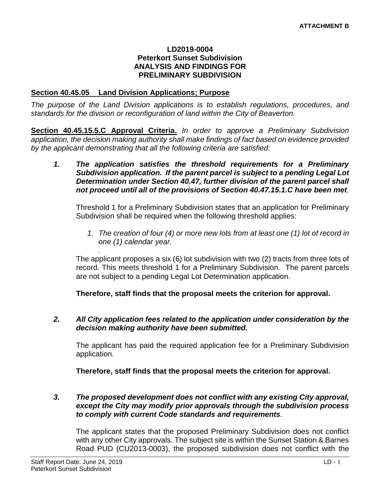#### **LD2019-0004 Peterkort Sunset Subdivision ANALYSIS AND FINDINGS FOR PRELIMINARY SUBDIVISION**

#### **Section 40.45.05 Land Division Applications; Purpose**

*.* 

*The purpose of the Land Division applications is to establish regulations, procedures, and standards for the division or reconfiguration of land within the City of Beaverton.* 

**Section 40.45.15.5.C Approval Criteria.** *In order to approve a Preliminary Subdivision application, the decision making authority shall make findings of fact based on evidence provided by the applicant demonstrating that all the following criteria are satisfied:*

*1. The application satisfies the threshold requirements for a Preliminary Subdivision application. If the parent parcel is subject to a pending Legal Lot Determination under Section 40.47, further division of the parent parcel shall not proceed until all of the provisions of Section 40.47.15.1.C have been met.*

Threshold 1 for a Preliminary Subdivision states that an application for Preliminary Subdivision shall be required when the following threshold applies:

*1. The creation of four (4) or more new lots from at least one (1) lot of record in one (1) calendar year.*

The applicant proposes a six (6) lot subdivision with two (2) tracts from three lots of record. This meets threshold 1 for a Preliminary Subdivision. The parent parcels are not subject to a pending Legal Lot Determination application.

**Therefore, staff finds that the proposal meets the criterion for approval.**

#### *2. All City application fees related to the application under consideration by the decision making authority have been submitted.*

The applicant has paid the required application fee for a Preliminary Subdivision application.

**Therefore, staff finds that the proposal meets the criterion for approval.**

#### *3. The proposed development does not conflict with any existing City approval, except the City may modify prior approvals through the subdivision process to comply with current Code standards and requirements.*

The applicant states that the proposed Preliminary Subdivision does not conflict with any other City approvals. The subject site is within the Sunset Station & Barnes Road PUD (CU2013-0003), the proposed subdivision does not conflict with the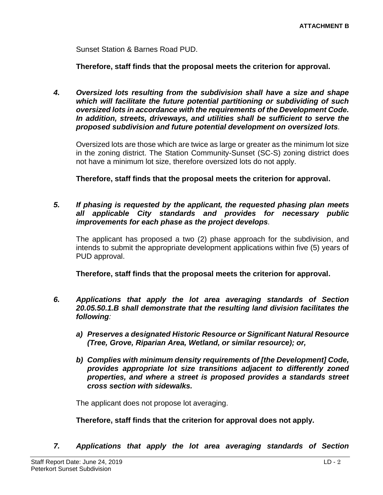Sunset Station & Barnes Road PUD.

**Therefore, staff finds that the proposal meets the criterion for approval.**

*4. Oversized lots resulting from the subdivision shall have a size and shape which will facilitate the future potential partitioning or subdividing of such oversized lots in accordance with the requirements of the Development Code. In addition, streets, driveways, and utilities shall be sufficient to serve the proposed subdivision and future potential development on oversized lots.*

Oversized lots are those which are twice as large or greater as the minimum lot size in the zoning district. The Station Community-Sunset (SC-S) zoning district does not have a minimum lot size, therefore oversized lots do not apply.

**Therefore, staff finds that the proposal meets the criterion for approval.**

*5. If phasing is requested by the applicant, the requested phasing plan meets all applicable City standards and provides for necessary public improvements for each phase as the project develops.*

The applicant has proposed a two (2) phase approach for the subdivision, and intends to submit the appropriate development applications within five (5) years of PUD approval.

**Therefore, staff finds that the proposal meets the criterion for approval.**

- *6. Applications that apply the lot area averaging standards of Section 20.05.50.1.B shall demonstrate that the resulting land division facilitates the following:*
	- *a) Preserves a designated Historic Resource or Significant Natural Resource (Tree, Grove, Riparian Area, Wetland, or similar resource); or,*
	- *b) Complies with minimum density requirements of [the Development] Code, provides appropriate lot size transitions adjacent to differently zoned properties, and where a street is proposed provides a standards street cross section with sidewalks.*

The applicant does not propose lot averaging.

**Therefore, staff finds that the criterion for approval does not apply.**

*7. Applications that apply the lot area averaging standards of Section*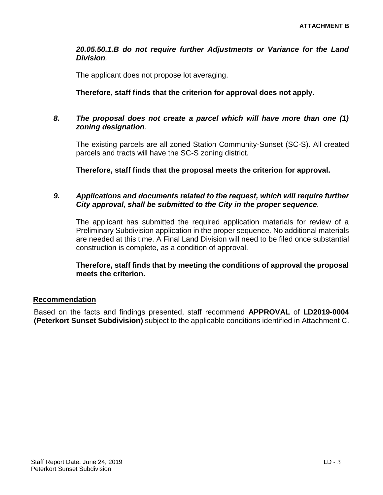#### *20.05.50.1.B do not require further Adjustments or Variance for the Land Division.*

The applicant does not propose lot averaging.

# **Therefore, staff finds that the criterion for approval does not apply.**

#### *8. The proposal does not create a parcel which will have more than one (1) zoning designation.*

The existing parcels are all zoned Station Community-Sunset (SC-S). All created parcels and tracts will have the SC-S zoning district.

**Therefore, staff finds that the proposal meets the criterion for approval.**

#### *9. Applications and documents related to the request, which will require further City approval, shall be submitted to the City in the proper sequence.*

The applicant has submitted the required application materials for review of a Preliminary Subdivision application in the proper sequence. No additional materials are needed at this time. A Final Land Division will need to be filed once substantial construction is complete, as a condition of approval.

**Therefore, staff finds that by meeting the conditions of approval the proposal meets the criterion.** 

# **Recommendation**

Based on the facts and findings presented, staff recommend **APPROVAL** of **LD2019-0004 (Peterkort Sunset Subdivision)** subject to the applicable conditions identified in Attachment C.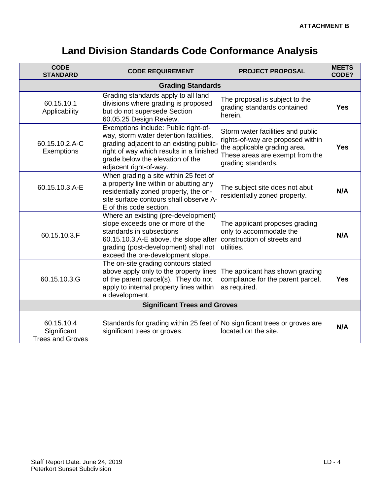# **Land Division Standards Code Conformance Analysis**

| <b>CODE</b><br><b>STANDARD</b>                       | <b>CODE REQUIREMENT</b>                                                                                                                                                                                                             | <b>PROJECT PROPOSAL</b>                                                                                                                                         | <b>MEETS</b><br>CODE? |
|------------------------------------------------------|-------------------------------------------------------------------------------------------------------------------------------------------------------------------------------------------------------------------------------------|-----------------------------------------------------------------------------------------------------------------------------------------------------------------|-----------------------|
| <b>Grading Standards</b>                             |                                                                                                                                                                                                                                     |                                                                                                                                                                 |                       |
| 60.15.10.1<br>Applicability                          | Grading standards apply to all land<br>divisions where grading is proposed<br>but do not supersede Section<br>60.05.25 Design Review.                                                                                               | The proposal is subject to the<br>grading standards contained<br>herein.                                                                                        | <b>Yes</b>            |
| 60.15.10.2.A-C<br>Exemptions                         | Exemptions include: Public right-of-<br>way, storm water detention facilities,<br>grading adjacent to an existing public-<br>right of way which results in a finished<br>grade below the elevation of the<br>adjacent right-of-way. | Storm water facilities and public<br>rights-of-way are proposed within<br>the applicable grading area.<br>These areas are exempt from the<br>grading standards. | <b>Yes</b>            |
| 60.15.10.3.A-E                                       | When grading a site within 25 feet of<br>a property line within or abutting any<br>residentially zoned property, the on-<br>site surface contours shall observe A-<br>E of this code section.                                       | The subject site does not abut<br>residentially zoned property.                                                                                                 | N/A                   |
| 60.15.10.3.F                                         | Where an existing (pre-development)<br>slope exceeds one or more of the<br>standards in subsections<br>60.15.10.3.A-E above, the slope after<br>grading (post-development) shall not<br>exceed the pre-development slope.           | The applicant proposes grading<br>only to accommodate the<br>construction of streets and<br>utilities.                                                          | N/A                   |
| 60.15.10.3.G                                         | The on-site grading contours stated<br>above apply only to the property lines<br>of the parent parcel(s). They do not<br>apply to internal property lines within<br>a development.                                                  | The applicant has shown grading<br>compliance for the parent parcel,<br>as required.                                                                            | <b>Yes</b>            |
| <b>Significant Trees and Groves</b>                  |                                                                                                                                                                                                                                     |                                                                                                                                                                 |                       |
| 60.15.10.4<br>Significant<br><b>Trees and Groves</b> | Standards for grading within 25 feet of No significant trees or groves are<br>significant trees or groves.                                                                                                                          | located on the site.                                                                                                                                            | N/A                   |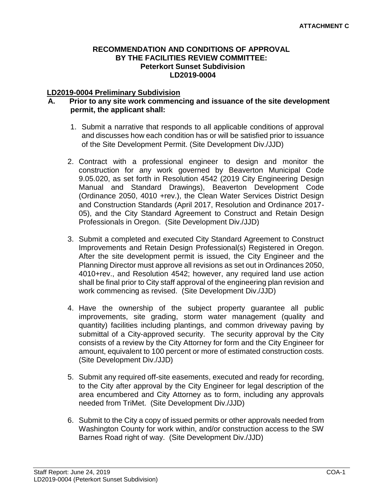#### **RECOMMENDATION AND CONDITIONS OF APPROVAL BY THE FACILITIES REVIEW COMMITTEE: Peterkort Sunset Subdivision LD2019-0004**

#### **LD2019-0004 Preliminary Subdivision**

#### **A. Prior to any site work commencing and issuance of the site development permit, the applicant shall:**

- 1. Submit a narrative that responds to all applicable conditions of approval and discusses how each condition has or will be satisfied prior to issuance of the Site Development Permit. (Site Development Div./JJD)
- 2. Contract with a professional engineer to design and monitor the construction for any work governed by Beaverton Municipal Code 9.05.020, as set forth in Resolution 4542 (2019 City Engineering Design Manual and Standard Drawings), Beaverton Development Code (Ordinance 2050, 4010 +rev.), the Clean Water Services District Design and Construction Standards (April 2017, Resolution and Ordinance 2017- 05), and the City Standard Agreement to Construct and Retain Design Professionals in Oregon. (Site Development Div./JJD)
- 3. Submit a completed and executed City Standard Agreement to Construct Improvements and Retain Design Professional(s) Registered in Oregon. After the site development permit is issued, the City Engineer and the Planning Director must approve all revisions as set out in Ordinances 2050, 4010+rev., and Resolution 4542; however, any required land use action shall be final prior to City staff approval of the engineering plan revision and work commencing as revised. (Site Development Div./JJD)
- 4. Have the ownership of the subject property guarantee all public improvements, site grading, storm water management (quality and quantity) facilities including plantings, and common driveway paving by submittal of a City-approved security. The security approval by the City consists of a review by the City Attorney for form and the City Engineer for amount, equivalent to 100 percent or more of estimated construction costs. (Site Development Div./JJD)
- 5. Submit any required off-site easements, executed and ready for recording, to the City after approval by the City Engineer for legal description of the area encumbered and City Attorney as to form, including any approvals needed from TriMet. (Site Development Div./JJD)
- 6. Submit to the City a copy of issued permits or other approvals needed from Washington County for work within, and/or construction access to the SW Barnes Road right of way. (Site Development Div./JJD)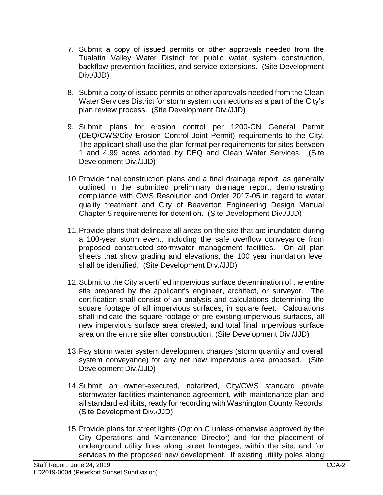- 7. Submit a copy of issued permits or other approvals needed from the Tualatin Valley Water District for public water system construction, backflow prevention facilities, and service extensions. (Site Development Div./JJD)
- 8. Submit a copy of issued permits or other approvals needed from the Clean Water Services District for storm system connections as a part of the City's plan review process. (Site Development Div./JJD)
- 9. Submit plans for erosion control per 1200-CN General Permit (DEQ/CWS/City Erosion Control Joint Permit) requirements to the City. The applicant shall use the plan format per requirements for sites between 1 and 4.99 acres adopted by DEQ and Clean Water Services. (Site Development Div./JJD)
- 10.Provide final construction plans and a final drainage report, as generally outlined in the submitted preliminary drainage report, demonstrating compliance with CWS Resolution and Order 2017-05 in regard to water quality treatment and City of Beaverton Engineering Design Manual Chapter 5 requirements for detention. (Site Development Div./JJD)
- 11.Provide plans that delineate all areas on the site that are inundated during a 100-year storm event, including the safe overflow conveyance from proposed constructed stormwater management facilities. On all plan sheets that show grading and elevations, the 100 year inundation level shall be identified. (Site Development Div./JJD)
- 12.Submit to the City a certified impervious surface determination of the entire site prepared by the applicant's engineer, architect, or surveyor. The certification shall consist of an analysis and calculations determining the square footage of all impervious surfaces, in square feet. Calculations shall indicate the square footage of pre-existing impervious surfaces, all new impervious surface area created, and total final impervious surface area on the entire site after construction. (Site Development Div./JJD)
- 13.Pay storm water system development charges (storm quantity and overall system conveyance) for any net new impervious area proposed. (Site Development Div./JJD)
- 14.Submit an owner-executed, notarized, City/CWS standard private stormwater facilities maintenance agreement, with maintenance plan and all standard exhibits, ready for recording with Washington County Records. (Site Development Div./JJD)
- 15.Provide plans for street lights (Option C unless otherwise approved by the City Operations and Maintenance Director) and for the placement of underground utility lines along street frontages, within the site, and for services to the proposed new development. If existing utility poles along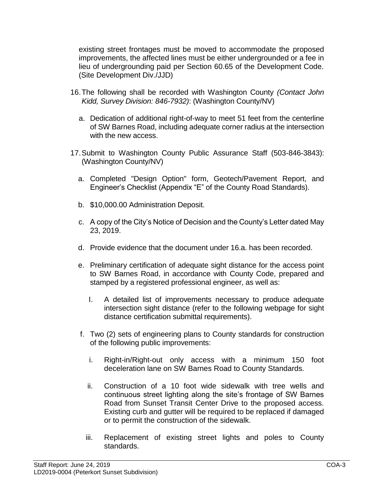existing street frontages must be moved to accommodate the proposed improvements, the affected lines must be either undergrounded or a fee in lieu of undergrounding paid per Section 60.65 of the Development Code. (Site Development Div./JJD)

- 16.The following shall be recorded with Washington County *(Contact John Kidd, Survey Division: 846-7932)*: (Washington County/NV)
	- a. Dedication of additional right-of-way to meet 51 feet from the centerline of SW Barnes Road, including adequate corner radius at the intersection with the new access.
- 17.Submit to Washington County Public Assurance Staff (503-846-3843): (Washington County/NV)
	- a. Completed "Design Option" form, Geotech/Pavement Report, and Engineer's Checklist (Appendix "E" of the County Road Standards).
	- b. \$10,000.00 Administration Deposit.
	- c. A copy of the City's Notice of Decision and the County's Letter dated May 23, 2019.
	- d. Provide evidence that the document under 16.a. has been recorded.
	- e. Preliminary certification of adequate sight distance for the access point to SW Barnes Road, in accordance with County Code, prepared and stamped by a registered professional engineer, as well as:
		- I. A detailed list of improvements necessary to produce adequate intersection sight distance (refer to the following webpage for sight distance certification submittal requirements).
	- f. Two (2) sets of engineering plans to County standards for construction of the following public improvements:
		- i. Right-in/Right-out only access with a minimum 150 foot deceleration lane on SW Barnes Road to County Standards.
		- ii. Construction of a 10 foot wide sidewalk with tree wells and continuous street lighting along the site's frontage of SW Barnes Road from Sunset Transit Center Drive to the proposed access. Existing curb and gutter will be required to be replaced if damaged or to permit the construction of the sidewalk.
		- iii. Replacement of existing street lights and poles to County standards.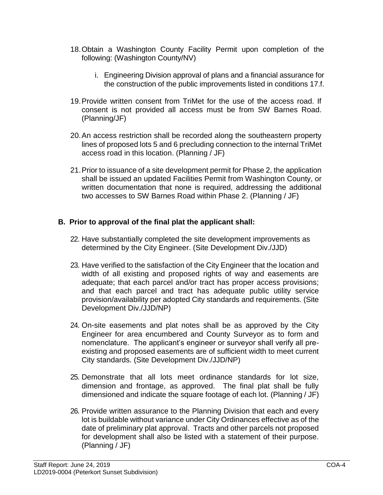- 18.Obtain a Washington County Facility Permit upon completion of the following: (Washington County/NV)
	- i. Engineering Division approval of plans and a financial assurance for the construction of the public improvements listed in conditions 17.f.
- 19.Provide written consent from TriMet for the use of the access road. If consent is not provided all access must be from SW Barnes Road. (Planning/JF)
- 20.An access restriction shall be recorded along the southeastern property lines of proposed lots 5 and 6 precluding connection to the internal TriMet access road in this location. (Planning / JF)
- 21.Prior to issuance of a site development permit for Phase 2, the application shall be issued an updated Facilities Permit from Washington County, or written documentation that none is required, addressing the additional two accesses to SW Barnes Road within Phase 2. (Planning / JF)

# **B. Prior to approval of the final plat the applicant shall:**

- 22. Have substantially completed the site development improvements as determined by the City Engineer. (Site Development Div./JJD)
- 23. Have verified to the satisfaction of the City Engineer that the location and width of all existing and proposed rights of way and easements are adequate; that each parcel and/or tract has proper access provisions; and that each parcel and tract has adequate public utility service provision/availability per adopted City standards and requirements. (Site Development Div./JJD/NP)
- 24. On-site easements and plat notes shall be as approved by the City Engineer for area encumbered and County Surveyor as to form and nomenclature. The applicant's engineer or surveyor shall verify all preexisting and proposed easements are of sufficient width to meet current City standards. (Site Development Div./JJD/NP)
- 25. Demonstrate that all lots meet ordinance standards for lot size, dimension and frontage, as approved. The final plat shall be fully dimensioned and indicate the square footage of each lot. (Planning / JF)
- 26. Provide written assurance to the Planning Division that each and every lot is buildable without variance under City Ordinances effective as of the date of preliminary plat approval. Tracts and other parcels not proposed for development shall also be listed with a statement of their purpose. (Planning / JF)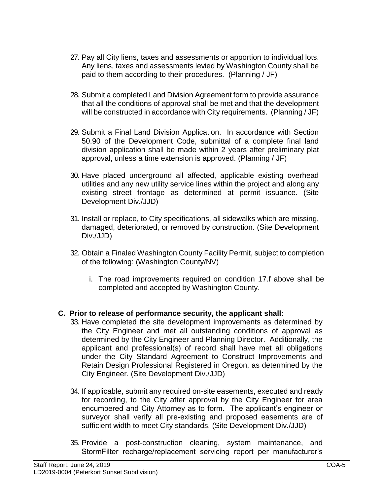- 27. Pay all City liens, taxes and assessments or apportion to individual lots. Any liens, taxes and assessments levied by Washington County shall be paid to them according to their procedures. (Planning / JF)
- 28. Submit a completed Land Division Agreement form to provide assurance that all the conditions of approval shall be met and that the development will be constructed in accordance with City requirements. (Planning / JF)
- 29. Submit a Final Land Division Application. In accordance with Section 50.90 of the Development Code, submittal of a complete final land division application shall be made within 2 years after preliminary plat approval, unless a time extension is approved. (Planning / JF)
- 30. Have placed underground all affected, applicable existing overhead utilities and any new utility service lines within the project and along any existing street frontage as determined at permit issuance. (Site Development Div./JJD)
- 31. Install or replace, to City specifications, all sidewalks which are missing, damaged, deteriorated, or removed by construction. (Site Development Div./JJD)
- 32. Obtain a Finaled Washington County Facility Permit, subject to completion of the following: (Washington County/NV)
	- i. The road improvements required on condition 17.f above shall be completed and accepted by Washington County.

# **C. Prior to release of performance security, the applicant shall:**

- 33. Have completed the site development improvements as determined by the City Engineer and met all outstanding conditions of approval as determined by the City Engineer and Planning Director. Additionally, the applicant and professional(s) of record shall have met all obligations under the City Standard Agreement to Construct Improvements and Retain Design Professional Registered in Oregon, as determined by the City Engineer. (Site Development Div./JJD)
- 34. If applicable, submit any required on-site easements, executed and ready for recording, to the City after approval by the City Engineer for area encumbered and City Attorney as to form. The applicant's engineer or surveyor shall verify all pre-existing and proposed easements are of sufficient width to meet City standards. (Site Development Div./JJD)
- 35. Provide a post-construction cleaning, system maintenance, and StormFilter recharge/replacement servicing report per manufacturer's